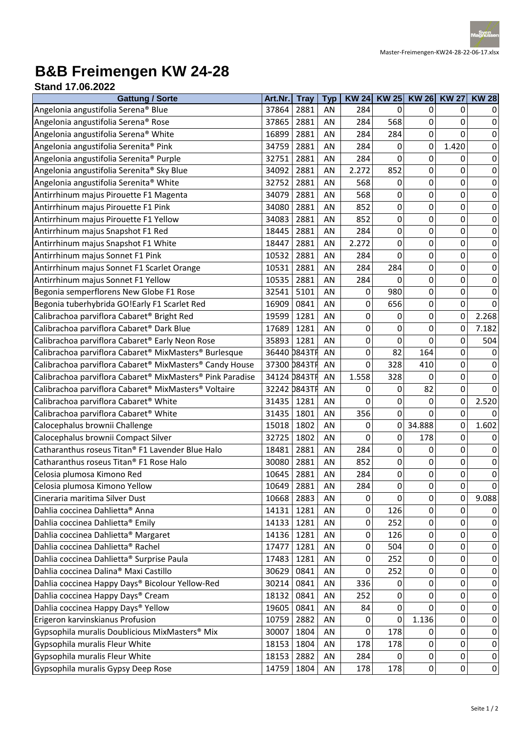

## **B&B Freimengen KW 24-28**

| <b>Stand 17.06.2022</b> |  |
|-------------------------|--|
|                         |  |

| <b>Gattung / Sorte</b>                                    | Art.Nr.      | <b>Tray</b> | <b>Typ</b> |       |              | KW 24 KW 25 KW 26 KW 27 |             | <b>KW 28</b> |
|-----------------------------------------------------------|--------------|-------------|------------|-------|--------------|-------------------------|-------------|--------------|
| Angelonia angustifolia Serena® Blue                       | 37864        | 2881        | AN         | 284   | $\mathbf{0}$ | 0                       | 0           | 0            |
| Angelonia angustifolia Serena® Rose                       | 37865        | 2881        | AN         | 284   | 568          | 0                       | 0           | $\mathbf 0$  |
| Angelonia angustifolia Serena® White                      | 16899        | 2881        | AN         | 284   | 284          | 0                       | 0           | $\mathbf 0$  |
| Angelonia angustifolia Serenita® Pink                     | 34759        | 2881        | AN         | 284   | 0            | 0                       | 1.420       | $\pmb{0}$    |
| Angelonia angustifolia Serenita® Purple                   | 32751        | 2881        | AN         | 284   | $\mathbf 0$  | 0                       | 0           | $\pmb{0}$    |
| Angelonia angustifolia Serenita® Sky Blue                 | 34092        | 2881        | AN         | 2.272 | 852          | 0                       | 0           | $\pmb{0}$    |
| Angelonia angustifolia Serenita® White                    | 32752        | 2881        | AN         | 568   | 0            | 0                       | 0           | $\pmb{0}$    |
| Antirrhinum majus Pirouette F1 Magenta                    | 34079        | 2881        | AN         | 568   | 0            | 0                       | 0           | $\mathbf 0$  |
| Antirrhinum majus Pirouette F1 Pink                       | 34080        | 2881        | AN         | 852   | 0            | 0                       | 0           | $\mathbf 0$  |
| Antirrhinum majus Pirouette F1 Yellow                     | 34083        | 2881        | AN         | 852   | $\mathbf 0$  | 0                       | 0           | $\pmb{0}$    |
| Antirrhinum majus Snapshot F1 Red                         | 18445        | 2881        | AN         | 284   | $\pmb{0}$    | 0                       | 0           | $\pmb{0}$    |
| Antirrhinum majus Snapshot F1 White                       | 18447        | 2881        | AN         | 2.272 | $\mathbf 0$  | 0                       | 0           | 0            |
| Antirrhinum majus Sonnet F1 Pink                          | 10532        | 2881        | AN         | 284   | 0            | 0                       | 0           | $\pmb{0}$    |
| Antirrhinum majus Sonnet F1 Scarlet Orange                | 10531        | 2881        | AN         | 284   | 284          | 0                       | 0           | $\mathbf 0$  |
| Antirrhinum majus Sonnet F1 Yellow                        | 10535        | 2881        | AN         | 284   | 0            | 0                       | 0           | 0            |
| Begonia semperflorens New Globe F1 Rose                   | 32541        | 5101        | AN         | 0     | 980          | 0                       | 0           | $\pmb{0}$    |
| Begonia tuberhybrida GO!Early F1 Scarlet Red              | 16909        | 0841        | AN         | 0     | 656          | 0                       | 0           | $\mathbf 0$  |
| Calibrachoa parviflora Cabaret <sup>®</sup> Bright Red    | 19599        | 1281        | AN         | 0     | 0            | 0                       | 0           | 2.268        |
| Calibrachoa parviflora Cabaret <sup>®</sup> Dark Blue     | 17689        | 1281        | AN         | 0     | 0            | 0                       | 0           | 7.182        |
| Calibrachoa parviflora Cabaret® Early Neon Rose           | 35893        | 1281        | AN         | 0     | 0            | 0                       | 0           | 504          |
| Calibrachoa parviflora Cabaret® MixMasters® Burlesque     | 36440 0843TH |             | AN         | 0     | 82           | 164                     | 0           | 0            |
| Calibrachoa parviflora Cabaret® MixMasters® Candy House   | 37300 0843TF |             | AN         | 0     | 328          | 410                     | 0           | $\mathbf 0$  |
| Calibrachoa parviflora Cabaret® MixMasters® Pink Paradise | 34124 0843TF |             | AN         | 1.558 | 328          | 0                       | 0           | $\pmb{0}$    |
| Calibrachoa parviflora Cabaret® MixMasters® Voltaire      | 32242 0843TH |             | AN         | 0     | 0            | 82                      | 0           | $\mathbf 0$  |
| Calibrachoa parviflora Cabaret <sup>®</sup> White         | 31435        | 1281        | AN         | 0     | 0            | 0                       | 0           | 2.520        |
| Calibrachoa parviflora Cabaret <sup>®</sup> White         | 31435        | 1801        | AN         | 356   | $\mathbf 0$  | 0                       | $\mathbf 0$ | $\Omega$     |
| Calocephalus brownii Challenge                            | 15018        | 1802        | AN         | 0     | 0            | 34.888                  | 0           | 1.602        |
| Calocephalus brownii Compact Silver                       | 32725        | 1802        | AN         | 0     | 0            | 178                     | 0           | $\mathbf 0$  |
| Catharanthus roseus Titan® F1 Lavender Blue Halo          | 18481        | 2881        | AN         | 284   | $\pmb{0}$    | 0                       | 0           | $\pmb{0}$    |
| Catharanthus roseus Titan® F1 Rose Halo                   | 30080        | 2881        | AN         | 852   | 0            | 0                       | 0           | $\pmb{0}$    |
| Celosia plumosa Kimono Red                                | 10645        | 2881        | AN         | 284   | 0            | 0                       | 0           | $\mathbf 0$  |
| Celosia plumosa Kimono Yellow                             | 10649        | 2881        | AN         | 284   | 0            | 0                       | 0           | 0            |
| Cineraria maritima Silver Dust                            | 10668        | 2883        | AN         | 0     | 0            | 0                       | 0           | 9.088        |
| Dahlia coccinea Dahlietta® Anna                           | 14131        | 1281        | AN         | 0     | 126          | 0                       | 0           | 0            |
| Dahlia coccinea Dahlietta® Emily                          | 14133        | 1281        | AN         | 0     | 252          | 0                       | 0           | 0            |
| Dahlia coccinea Dahlietta® Margaret                       | 14136        | 1281        | AN         | 0     | 126          | 0                       | 0           | 0            |
| Dahlia coccinea Dahlietta® Rachel                         | 17477        | 1281        | AN         | 0     | 504          | 0                       | 0           | 0            |
| Dahlia coccinea Dahlietta® Surprise Paula                 | 17483        | 1281        | AN         | 0     | 252          | 0                       | 0           | 0            |
| Dahlia coccinea Dalina® Maxi Castillo                     | 30629        | 0841        | AN         | 0     | 252          | 0                       | 0           | 0            |
| Dahlia coccinea Happy Days® Bicolour Yellow-Red           | 30214        | 0841        | AN         | 336   | 0            | 0                       | 0           | 0            |
| Dahlia coccinea Happy Days® Cream                         | 18132        | 0841        | AN         | 252   | 0            | 0                       | 0           | 0            |
| Dahlia coccinea Happy Days® Yellow                        | 19605        | 0841        | AN         | 84    | 0            | 0                       | 0           | 0            |
| Erigeron karvinskianus Profusion                          | 10759        | 2882        | AN         | 0     | 0            | 1.136                   | 0           | 0            |
| Gypsophila muralis Doublicious MixMasters® Mix            | 30007        | 1804        | AN         | 0     | 178          | 0                       | 0           | $\mathbf 0$  |
| Gypsophila muralis Fleur White                            | 18153        | 1804        | AN         | 178   | 178          | 0                       | 0           | 0            |
| Gypsophila muralis Fleur White                            | 18153        | 2882        | AN         | 284   | 0            | 0                       | 0           | $\mathbf 0$  |
| Gypsophila muralis Gypsy Deep Rose                        | 14759        | 1804        | AN         | 178   | 178          | 0                       | 0           | $\pmb{0}$    |